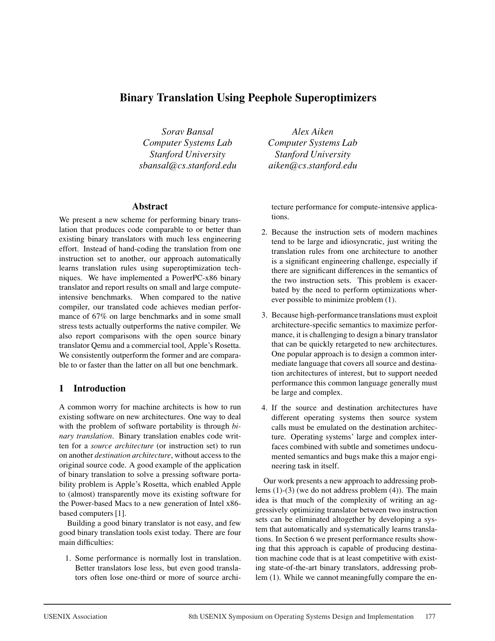# **Binary Translation Using Peephole Superoptimizers**

*Sorav Bansal Computer Systems Lab Stanford University sbansal@cs.stanford.edu*

#### **Abstract**

We present a new scheme for performing binary translation that produces code comparable to or better than existing binary translators with much less engineering effort. Instead of hand-coding the translation from one instruction set to another, our approach automatically learns translation rules using superoptimization techniques. We have implemented a PowerPC-x86 binary translator and report results on small and large computeintensive benchmarks. When compared to the native compiler, our translated code achieves median performance of 67% on large benchmarks and in some small stress tests actually outperforms the native compiler. We also report comparisons with the open source binary translator Qemu and a commercial tool, Apple's Rosetta. We consistently outperform the former and are comparable to or faster than the latter on all but one benchmark.

## **1 Introduction**

A common worry for machine architects is how to run existing software on new architectures. One way to deal with the problem of software portability is through *binary translation*. Binary translation enables code written for a *source architecture* (or instruction set) to run on another *destination architecture*, without access to the original source code. A good example of the application of binary translation to solve a pressing software portability problem is Apple's Rosetta, which enabled Apple to (almost) transparently move its existing software for the Power-based Macs to a new generation of Intel x86 based computers [1].

Building a good binary translator is not easy, and few good binary translation tools exist today. There are four main difficulties:

1. Some performance is normally lost in translation. Better translators lose less, but even good translators often lose one-third or more of source archi-

*Alex Aiken Computer Systems Lab Stanford University aiken@cs.stanford.edu*

tecture performance for compute-intensive applications.

- 2. Because the instruction sets of modern machines tend to be large and idiosyncratic, just writing the translation rules from one architecture to another is a significant engineering challenge, especially if there are significant differences in the semantics of the two instruction sets. This problem is exacerbated by the need to perform optimizations wherever possible to minimize problem (1).
- 3. Because high-performance translations must exploit architecture-specific semantics to maximize performance, it is challenging to design a binary translator that can be quickly retargeted to new architectures. One popular approach is to design a common intermediate language that covers all source and destination architectures of interest, but to support needed performance this common language generally must be large and complex.
- 4. If the source and destination architectures have different operating systems then source system calls must be emulated on the destination architecture. Operating systems' large and complex interfaces combined with subtle and sometimes undocumented semantics and bugs make this a major engineering task in itself.

Our work presents a new approach to addressing problems (1)-(3) (we do not address problem (4)). The main idea is that much of the complexity of writing an aggressively optimizing translator between two instruction sets can be eliminated altogether by developing a system that automatically and systematically learns translations. In Section 6 we present performance results showing that this approach is capable of producing destination machine code that is at least competitive with existing state-of-the-art binary translators, addressing problem (1). While we cannot meaningfully compare the en-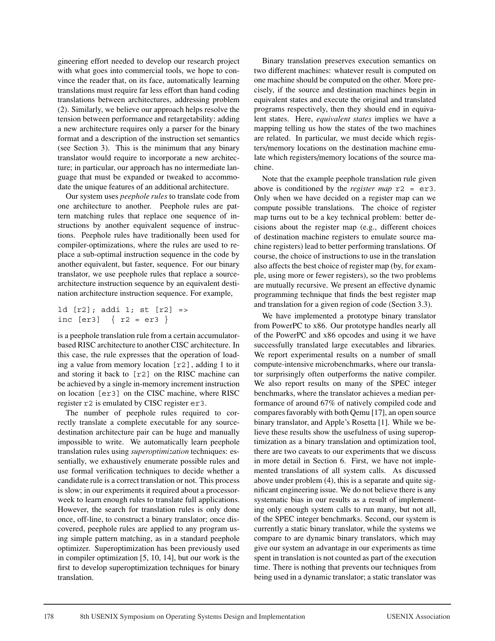gineering effort needed to develop our research project with what goes into commercial tools, we hope to convince the reader that, on its face, automatically learning translations must require far less effort than hand coding translations between architectures, addressing problem (2). Similarly, we believe our approach helps resolve the tension between performance and retargetability: adding a new architecture requires only a parser for the binary format and a description of the instruction set semantics (see Section 3). This is the minimum that any binary translator would require to incorporate a new architecture; in particular, our approach has no intermediate language that must be expanded or tweaked to accommodate the unique features of an additional architecture.

Our system uses *peephole rules* to translate code from one architecture to another. Peephole rules are pattern matching rules that replace one sequence of instructions by another equivalent sequence of instructions. Peephole rules have traditionally been used for compiler-optimizations, where the rules are used to replace a sub-optimal instruction sequence in the code by another equivalent, but faster, sequence. For our binary translator, we use peephole rules that replace a sourcearchitecture instruction sequence by an equivalent destination architecture instruction sequence. For example,

```
ld [r2]; addi 1; st [r2] =>
inc [er3] { r2 = er3 }
```
is a peephole translation rule from a certain accumulatorbased RISC architecture to another CISC architecture. In this case, the rule expresses that the operation of loading a value from memory location [r2], adding 1 to it and storing it back to [r2] on the RISC machine can be achieved by a single in-memory increment instruction on location [er3] on the CISC machine, where RISC register r2 is emulated by CISC register er3.

The number of peephole rules required to correctly translate a complete executable for any sourcedestination architecture pair can be huge and manually impossible to write. We automatically learn peephole translation rules using *superoptimization* techniques: essentially, we exhaustively enumerate possible rules and use formal verification techniques to decide whether a candidate rule is a correct translation or not. This process is slow; in our experiments it required about a processorweek to learn enough rules to translate full applications. However, the search for translation rules is only done once, off-line, to construct a binary translator; once discovered, peephole rules are applied to any program using simple pattern matching, as in a standard peephole optimizer. Superoptimization has been previously used in compiler optimization [5, 10, 14], but our work is the first to develop superoptimization techniques for binary translation.

Binary translation preserves execution semantics on two different machines: whatever result is computed on one machine should be computed on the other. More precisely, if the source and destination machines begin in equivalent states and execute the original and translated programs respectively, then they should end in equivalent states. Here, *equivalent states* implies we have a mapping telling us how the states of the two machines are related. In particular, we must decide which registers/memory locations on the destination machine emulate which registers/memory locations of the source machine.

Note that the example peephole translation rule given above is conditioned by the *register map* r2 = er3. Only when we have decided on a register map can we compute possible translations. The choice of register map turns out to be a key technical problem: better decisions about the register map (e.g., different choices of destination machine registers to emulate source machine registers) lead to better performing translations. Of course, the choice of instructions to use in the translation also affects the best choice of register map (by, for example, using more or fewer registers), so the two problems are mutually recursive. We present an effective dynamic programming technique that finds the best register map and translation for a given region of code (Section 3.3).

We have implemented a prototype binary translator from PowerPC to x86. Our prototype handles nearly all of the PowerPC and x86 opcodes and using it we have successfully translated large executables and libraries. We report experimental results on a number of small compute-intensive microbenchmarks, where our translator surprisingly often outperforms the native compiler. We also report results on many of the SPEC integer benchmarks, where the translator achieves a median performance of around 67% of natively compiled code and compares favorably with both Qemu [17], an open source binary translator, and Apple's Rosetta [1]. While we believe these results show the usefulness of using superoptimization as a binary translation and optimization tool, there are two caveats to our experiments that we discuss in more detail in Section 6. First, we have not implemented translations of all system calls. As discussed above under problem (4), this is a separate and quite significant engineering issue. We do not believe there is any systematic bias in our results as a result of implementing only enough system calls to run many, but not all, of the SPEC integer benchmarks. Second, our system is currently a static binary translator, while the systems we compare to are dynamic binary translators, which may give our system an advantage in our experiments as time spent in translation is not counted as part of the execution time. There is nothing that prevents our techniques from being used in a dynamic translator; a static translator was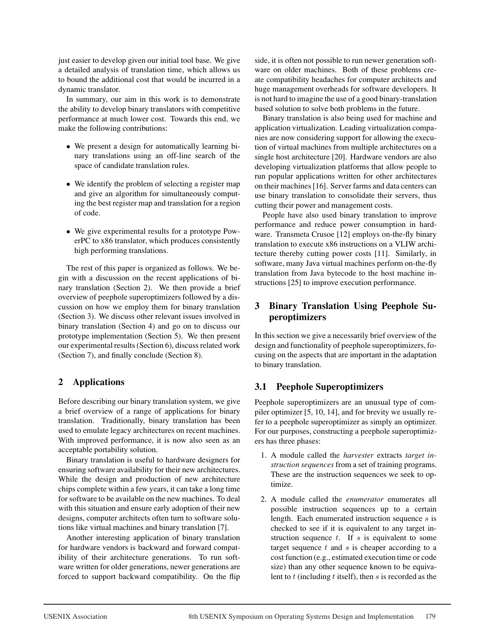just easier to develop given our initial tool base. We give a detailed analysis of translation time, which allows us to bound the additional cost that would be incurred in a dynamic translator.

In summary, our aim in this work is to demonstrate the ability to develop binary translators with competitive performance at much lower cost. Towards this end, we make the following contributions:

- We present a design for automatically learning binary translations using an off-line search of the space of candidate translation rules.
- We identify the problem of selecting a register map and give an algorithm for simultaneously computing the best register map and translation for a region of code.
- We give experimental results for a prototype PowerPC to x86 translator, which produces consistently high performing translations.

The rest of this paper is organized as follows. We begin with a discussion on the recent applications of binary translation (Section 2). We then provide a brief overview of peephole superoptimizers followed by a discussion on how we employ them for binary translation (Section 3). We discuss other relevant issues involved in binary translation (Section 4) and go on to discuss our prototype implementation (Section 5). We then present our experimental results (Section 6), discuss related work (Section 7), and finally conclude (Section 8).

## **2 Applications**

Before describing our binary translation system, we give a brief overview of a range of applications for binary translation. Traditionally, binary translation has been used to emulate legacy architectures on recent machines. With improved performance, it is now also seen as an acceptable portability solution.

Binary translation is useful to hardware designers for ensuring software availability for their new architectures. While the design and production of new architecture chips complete within a few years, it can take a long time for software to be available on the new machines. To deal with this situation and ensure early adoption of their new designs, computer architects often turn to software solutions like virtual machines and binary translation [7].

Another interesting application of binary translation for hardware vendors is backward and forward compatibility of their architecture generations. To run software written for older generations, newer generations are forced to support backward compatibility. On the flip side, it is often not possible to run newer generation software on older machines. Both of these problems create compatibility headaches for computer architects and huge management overheads for software developers. It is not hard to imagine the use of a good binary-translation based solution to solve both problems in the future.

Binary translation is also being used for machine and application virtualization. Leading virtualization companies are now considering support for allowing the execution of virtual machines from multiple architectures on a single host architecture [20]. Hardware vendors are also developing virtualization platforms that allow people to run popular applications written for other architectures on their machines [16]. Server farms and data centers can use binary translation to consolidate their servers, thus cutting their power and management costs.

People have also used binary translation to improve performance and reduce power consumption in hardware. Transmeta Crusoe [12] employs on-the-fly binary translation to execute x86 instructions on a VLIW architecture thereby cutting power costs [11]. Similarly, in software, many Java virtual machines perform on-the-fly translation from Java bytecode to the host machine instructions [25] to improve execution performance.

## **3 Binary Translation Using Peephole Superoptimizers**

In this section we give a necessarily brief overview of the design and functionality of peephole superoptimizers, focusing on the aspects that are important in the adaptation to binary translation.

## **3.1 Peephole Superoptimizers**

Peephole superoptimizers are an unusual type of compiler optimizer [5, 10, 14], and for brevity we usually refer to a peephole superoptimizer as simply an optimizer. For our purposes, constructing a peephole superoptimizers has three phases:

- 1. A module called the *harvester* extracts *target instruction sequences* from a set of training programs. These are the instruction sequences we seek to optimize.
- 2. A module called the *enumerator* enumerates all possible instruction sequences up to a certain length. Each enumerated instruction sequence s is checked to see if it is equivalent to any target instruction sequence  $t$ . If  $s$  is equivalent to some target sequence  $t$  and  $s$  is cheaper according to a cost function (e.g., estimated execution time or code size) than any other sequence known to be equivalent to  $t$  (including  $t$  itself), then  $s$  is recorded as the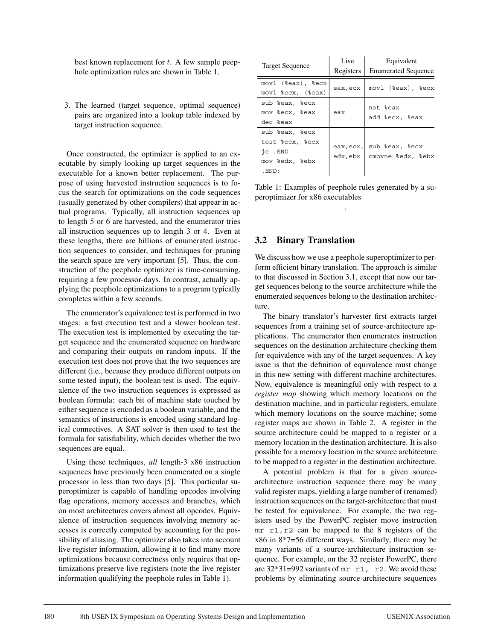best known replacement for t. A few sample peephole optimization rules are shown in Table 1.

3. The learned (target sequence, optimal sequence) pairs are organized into a lookup table indexed by target instruction sequence.

Once constructed, the optimizer is applied to an executable by simply looking up target sequences in the executable for a known better replacement. The purpose of using harvested instruction sequences is to focus the search for optimizations on the code sequences (usually generated by other compilers) that appear in actual programs. Typically, all instruction sequences up to length 5 or 6 are harvested, and the enumerator tries all instruction sequences up to length 3 or 4. Even at these lengths, there are billions of enumerated instruction sequences to consider, and techniques for pruning the search space are very important [5]. Thus, the construction of the peephole optimizer is time-consuming, requiring a few processor-days. In contrast, actually applying the peephole optimizations to a program typically completes within a few seconds.

The enumerator's equivalence test is performed in two stages: a fast execution test and a slower boolean test. The execution test is implemented by executing the target sequence and the enumerated sequence on hardware and comparing their outputs on random inputs. If the execution test does not prove that the two sequences are different (i.e., because they produce different outputs on some tested input), the boolean test is used. The equivalence of the two instruction sequences is expressed as boolean formula: each bit of machine state touched by either sequence is encoded as a boolean variable, and the semantics of instructions is encoded using standard logical connectives. A SAT solver is then used to test the formula for satisfiability, which decides whether the two sequences are equal.

Using these techniques, *all* length-3 x86 instruction sequences have previously been enumerated on a single processor in less than two days [5]. This particular superoptimizer is capable of handling opcodes involving flag operations, memory accesses and branches, which on most architectures covers almost all opcodes. Equivalence of instruction sequences involving memory accesses is correctly computed by accounting for the possibility of aliasing. The optimizer also takes into account live register information, allowing it to find many more optimizations because correctness only requires that optimizations preserve live registers (note the live register information qualifying the peephole rules in Table 1).

| <b>Target Sequence</b>                                                        | Live<br>Registers | Equivalent<br><b>Enumerated Sequence</b>      |
|-------------------------------------------------------------------------------|-------------------|-----------------------------------------------|
| movl (%eax), %ecx<br>movl %ecx, (%eax)                                        | eax, ecx          | movl (%eax), %ecx                             |
| sub %eax, %ecx<br>mov %ecx, %eax<br>dec %eax                                  | eax               | not %eax<br>add %ecx, %eax                    |
| sub %eax, %ecx<br>test %ecx, %ecx<br>ie .END<br>mov %edx, %ebx<br>$.$ END $:$ | edx, ebx          | eax, ecx, sub %eax, %ecx<br>cmovne %edx, %ebx |

Table 1: Examples of peephole rules generated by a superoptimizer for x86 executables .

#### **3.2 Binary Translation**

We discuss how we use a peephole superoptimizer to perform efficient binary translation. The approach is similar to that discussed in Section 3.1, except that now our target sequences belong to the source architecture while the enumerated sequences belong to the destination architecture.

The binary translator's harvester first extracts target sequences from a training set of source-architecture applications. The enumerator then enumerates instruction sequences on the destination architecture checking them for equivalence with any of the target sequences. A key issue is that the definition of equivalence must change in this new setting with different machine architectures. Now, equivalence is meaningful only with respect to a *register map* showing which memory locations on the destination machine, and in particular registers, emulate which memory locations on the source machine; some register maps are shown in Table 2. A register in the source architecture could be mapped to a register or a memory location in the destination architecture. It is also possible for a memory location in the source architecture to be mapped to a register in the destination architecture.

A potential problem is that for a given sourcearchitecture instruction sequence there may be many valid register maps, yielding a large number of (renamed) instruction sequences on the target-architecture that must be tested for equivalence. For example, the two registers used by the PowerPC register move instruction mr r1,r2 can be mapped to the 8 registers of the x86 in 8\*7=56 different ways. Similarly, there may be many variants of a source-architecture instruction sequence. For example, on the 32 register PowerPC, there are  $32*31=992$  variants of mr r1, r2. We avoid these problems by eliminating source-architecture sequences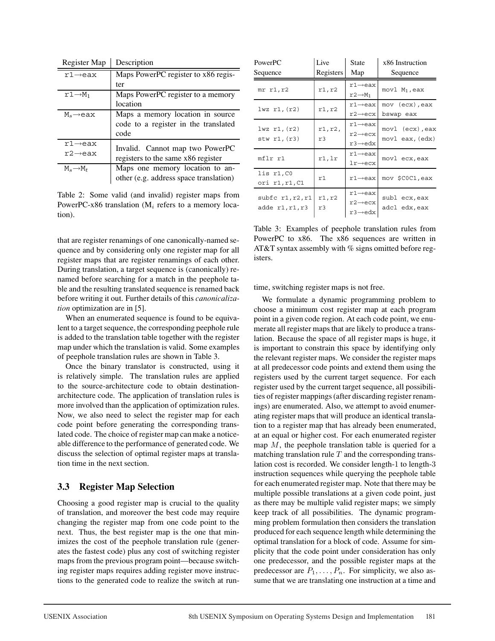| Register Map           | Description                            |
|------------------------|----------------------------------------|
| $r1 \rightarrow eax$   | Maps PowerPC register to x86 regis-    |
|                        | ter                                    |
| $r1 \rightarrow M_1$   | Maps PowerPC register to a memory      |
|                        | location                               |
| $M_s \rightarrow e$ ax | Maps a memory location in source       |
|                        | code to a register in the translated   |
|                        | code                                   |
| $r1 \rightarrow eax$   | Invalid. Cannot map two PowerPC        |
| $r2 \rightarrow e$ ax  | registers to the same x86 register     |
|                        |                                        |
| $M_s \rightarrow M_t$  | Maps one memory location to an-        |
|                        | other (e.g. address space translation) |

Table 2: Some valid (and invalid) register maps from PowerPC-x86 translation ( $M_i$  refers to a memory location).

that are register renamings of one canonically-named sequence and by considering only one register map for all register maps that are register renamings of each other. During translation, a target sequence is (canonically) renamed before searching for a match in the peephole table and the resulting translated sequence is renamed back before writing it out. Further details of this *canonicalization* optimization are in [5].

When an enumerated sequence is found to be equivalent to a target sequence, the corresponding peephole rule is added to the translation table together with the register map under which the translation is valid. Some examples of peephole translation rules are shown in Table 3.

Once the binary translator is constructed, using it is relatively simple. The translation rules are applied to the source-architecture code to obtain destinationarchitecture code. The application of translation rules is more involved than the application of optimization rules. Now, we also need to select the register map for each code point before generating the corresponding translated code. The choice of register map can make a noticeable difference to the performance of generated code. We discuss the selection of optimal register maps at translation time in the next section.

### **3.3 Register Map Selection**

Choosing a good register map is crucial to the quality of translation, and moreover the best code may require changing the register map from one code point to the next. Thus, the best register map is the one that minimizes the cost of the peephole translation rule (generates the fastest code) plus any cost of switching register maps from the previous program point—because switching register maps requires adding register move instructions to the generated code to realize the switch at run-

| PowerPC<br>Sequence                   | Live<br>Registers | <b>State</b><br>Map                                                     | x86 Instruction<br>Sequence        |
|---------------------------------------|-------------------|-------------------------------------------------------------------------|------------------------------------|
| $mr$ $r1, r2$                         | r1, r2            | $r1 \rightarrow eax$<br>$r2 \rightarrow M_1$                            | movl $M_1$ , eax                   |
| $1wz$ $r1$ , $(r2)$                   | r1,r2             | $r1 \rightarrow eax$<br>$r2 \rightarrow ecx$                            | mov (ecx), eax<br>bswap eax        |
| $1wz$ $r1$ , $(r2)$<br>stw r1, (r3)   | r1, r2,<br>r3     | $r1 \rightarrow eax$<br>$r2 \rightarrow ecx$<br>$r3 \rightarrow e dx$   | movl (ecx), eax<br>movl eax, (edx) |
| mflr r1                               | r1,lr             | $r1 \rightarrow eax$<br>$1r \rightarrow e c x$                          | movl ecx, eax                      |
| lis r1,C0<br>ori r1,r1,C1             | r1                | $r1 \rightarrow eax$                                                    | mov \$COC1, eax                    |
| subfc r1, r2, r1<br>adde $r1, r1, r3$ | r1, r2<br>r3      | $r1 \rightarrow eax$<br>$r2 \rightarrow e c x$<br>$r3 \rightarrow e dx$ | subl ecx, eax<br>adcl edx, eax     |

Table 3: Examples of peephole translation rules from PowerPC to x86. The x86 sequences are written in AT&T syntax assembly with % signs omitted before registers.

time, switching register maps is not free.

We formulate a dynamic programming problem to choose a minimum cost register map at each program point in a given code region. At each code point, we enumerate all register maps that are likely to produce a translation. Because the space of all register maps is huge, it is important to constrain this space by identifying only the relevant register maps. We consider the register maps at all predecessor code points and extend them using the registers used by the current target sequence. For each register used by the current target sequence, all possibilities of register mappings (after discarding register renamings) are enumerated. Also, we attempt to avoid enumerating register maps that will produce an identical translation to a register map that has already been enumerated, at an equal or higher cost. For each enumerated register map  $M$ , the peephole translation table is queried for a matching translation rule  $T$  and the corresponding translation cost is recorded. We consider length-1 to length-3 instruction sequences while querying the peephole table for each enumerated register map. Note that there may be multiple possible translations at a given code point, just as there may be multiple valid register maps; we simply keep track of all possibilities. The dynamic programming problem formulation then considers the translation produced for each sequence length while determining the optimal translation for a block of code. Assume for simplicity that the code point under consideration has only one predecessor, and the possible register maps at the predecessor are  $P_1, \ldots, P_n$ . For simplicity, we also assume that we are translating one instruction at a time and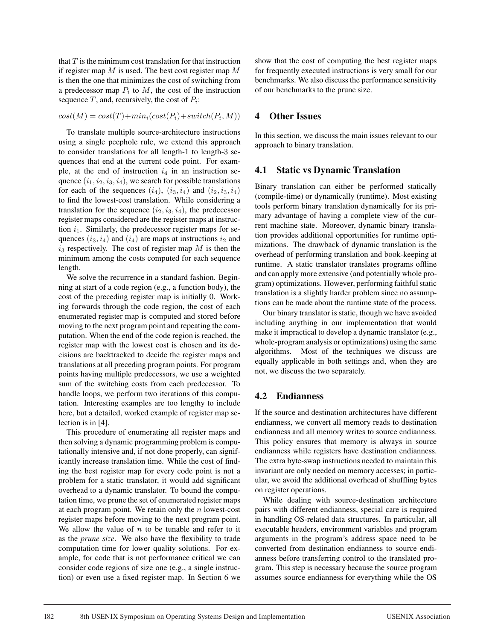that  $T$  is the minimum cost translation for that instruction if register map  $M$  is used. The best cost register map  $M$ is then the one that minimizes the cost of switching from a predecessor map  $P_i$  to  $M$ , the cost of the instruction sequence T, and, recursively, the cost of  $P_i$ :

$$
cost(M) = cost(T) + min_i (cost(P_i) + switch(P_i, M))
$$

To translate multiple source-architecture instructions using a single peephole rule, we extend this approach to consider translations for all length-1 to length-3 sequences that end at the current code point. For example, at the end of instruction  $i_4$  in an instruction sequence  $(i_1, i_2, i_3, i_4)$ , we search for possible translations for each of the sequences  $(i_4)$ ,  $(i_3, i_4)$  and  $(i_2, i_3, i_4)$ to find the lowest-cost translation. While considering a translation for the sequence  $(i_2, i_3, i_4)$ , the predecessor register maps considered are the register maps at instruction  $i_1$ . Similarly, the predecessor register maps for sequences  $(i_3, i_4)$  and  $(i_4)$  are maps at instructions  $i_2$  and  $i_3$  respectively. The cost of register map  $M$  is then the minimum among the costs computed for each sequence length.

We solve the recurrence in a standard fashion. Beginning at start of a code region (e.g., a function body), the cost of the preceding register map is initially 0. Working forwards through the code region, the cost of each enumerated register map is computed and stored before moving to the next program point and repeating the computation. When the end of the code region is reached, the register map with the lowest cost is chosen and its decisions are backtracked to decide the register maps and translations at all preceding program points. For program points having multiple predecessors, we use a weighted sum of the switching costs from each predecessor. To handle loops, we perform two iterations of this computation. Interesting examples are too lengthy to include here, but a detailed, worked example of register map selection is in [4].

This procedure of enumerating all register maps and then solving a dynamic programming problem is computationally intensive and, if not done properly, can significantly increase translation time. While the cost of finding the best register map for every code point is not a problem for a static translator, it would add significant overhead to a dynamic translator. To bound the computation time, we prune the set of enumerated register maps at each program point. We retain only the  $n$  lowest-cost register maps before moving to the next program point. We allow the value of  $n$  to be tunable and refer to it as the *prune size*. We also have the flexibility to trade computation time for lower quality solutions. For example, for code that is not performance critical we can consider code regions of size one (e.g., a single instruction) or even use a fixed register map. In Section 6 we

show that the cost of computing the best register maps for frequently executed instructions is very small for our benchmarks. We also discuss the performance sensitivity of our benchmarks to the prune size.

### **4 Other Issues**

In this section, we discuss the main issues relevant to our approach to binary translation.

### **4.1 Static vs Dynamic Translation**

Binary translation can either be performed statically (compile-time) or dynamically (runtime). Most existing tools perform binary translation dynamically for its primary advantage of having a complete view of the current machine state. Moreover, dynamic binary translation provides additional opportunities for runtime optimizations. The drawback of dynamic translation is the overhead of performing translation and book-keeping at runtime. A static translator translates programs offline and can apply more extensive (and potentially whole program) optimizations. However, performing faithful static translation is a slightly harder problem since no assumptions can be made about the runtime state of the process.

Our binary translator is static, though we have avoided including anything in our implementation that would make it impractical to develop a dynamic translator (e.g., whole-program analysis or optimizations) using the same algorithms. Most of the techniques we discuss are equally applicable in both settings and, when they are not, we discuss the two separately.

## **4.2 Endianness**

If the source and destination architectures have different endianness, we convert all memory reads to destination endianness and all memory writes to source endianness. This policy ensures that memory is always in source endianness while registers have destination endianness. The extra byte-swap instructions needed to maintain this invariant are only needed on memory accesses; in particular, we avoid the additional overhead of shuffling bytes on register operations.

While dealing with source-destination architecture pairs with different endianness, special care is required in handling OS-related data structures. In particular, all executable headers, environment variables and program arguments in the program's address space need to be converted from destination endianness to source endianness before transferring control to the translated program. This step is necessary because the source program assumes source endianness for everything while the OS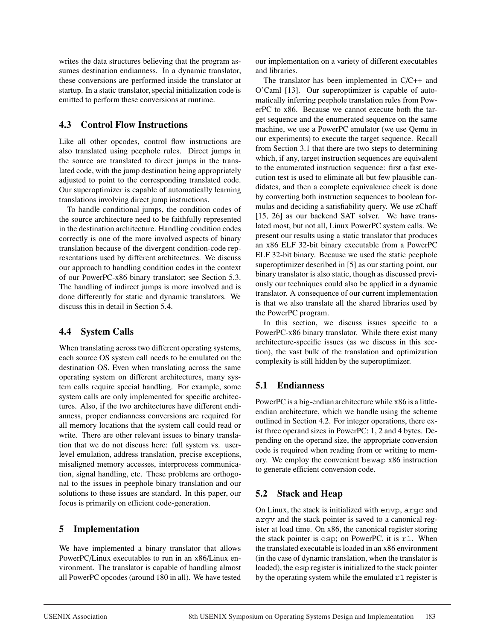writes the data structures believing that the program assumes destination endianness. In a dynamic translator, these conversions are performed inside the translator at startup. In a static translator, special initialization code is emitted to perform these conversions at runtime.

## **4.3 Control Flow Instructions**

Like all other opcodes, control flow instructions are also translated using peephole rules. Direct jumps in the source are translated to direct jumps in the translated code, with the jump destination being appropriately adjusted to point to the corresponding translated code. Our superoptimizer is capable of automatically learning translations involving direct jump instructions.

To handle conditional jumps, the condition codes of the source architecture need to be faithfully represented in the destination architecture. Handling condition codes correctly is one of the more involved aspects of binary translation because of the divergent condition-code representations used by different architectures. We discuss our approach to handling condition codes in the context of our PowerPC-x86 binary translator; see Section 5.3. The handling of indirect jumps is more involved and is done differently for static and dynamic translators. We discuss this in detail in Section 5.4.

## **4.4 System Calls**

When translating across two different operating systems, each source OS system call needs to be emulated on the destination OS. Even when translating across the same operating system on different architectures, many system calls require special handling. For example, some system calls are only implemented for specific architectures. Also, if the two architectures have different endianness, proper endianness conversions are required for all memory locations that the system call could read or write. There are other relevant issues to binary translation that we do not discuss here: full system vs. userlevel emulation, address translation, precise exceptions, misaligned memory accesses, interprocess communication, signal handling, etc. These problems are orthogonal to the issues in peephole binary translation and our solutions to these issues are standard. In this paper, our focus is primarily on efficient code-generation.

## **5 Implementation**

We have implemented a binary translator that allows PowerPC/Linux executables to run in an x86/Linux environment. The translator is capable of handling almost all PowerPC opcodes (around 180 in all). We have tested our implementation on a variety of different executables and libraries.

The translator has been implemented in C/C++ and O'Caml [13]. Our superoptimizer is capable of automatically inferring peephole translation rules from PowerPC to x86. Because we cannot execute both the target sequence and the enumerated sequence on the same machine, we use a PowerPC emulator (we use Qemu in our experiments) to execute the target sequence. Recall from Section 3.1 that there are two steps to determining which, if any, target instruction sequences are equivalent to the enumerated instruction sequence: first a fast execution test is used to eliminate all but few plausible candidates, and then a complete equivalence check is done by converting both instruction sequences to boolean formulas and deciding a satisfiability query. We use zChaff [15, 26] as our backend SAT solver. We have translated most, but not all, Linux PowerPC system calls. We present our results using a static translator that produces an x86 ELF 32-bit binary executable from a PowerPC ELF 32-bit binary. Because we used the static peephole superoptimizer described in [5] as our starting point, our binary translator is also static, though as discussed previously our techniques could also be applied in a dynamic translator. A consequence of our current implementation is that we also translate all the shared libraries used by the PowerPC program.

In this section, we discuss issues specific to a PowerPC-x86 binary translator. While there exist many architecture-specific issues (as we discuss in this section), the vast bulk of the translation and optimization complexity is still hidden by the superoptimizer.

## **5.1 Endianness**

PowerPC is a big-endian architecture while x86 is a littleendian architecture, which we handle using the scheme outlined in Section 4.2. For integer operations, there exist three operand sizes in PowerPC: 1, 2 and 4 bytes. Depending on the operand size, the appropriate conversion code is required when reading from or writing to memory. We employ the convenient bswap x86 instruction to generate efficient conversion code.

## **5.2 Stack and Heap**

On Linux, the stack is initialized with envp, argc and argv and the stack pointer is saved to a canonical register at load time. On x86, the canonical register storing the stack pointer is esp; on PowerPC, it is r1. When the translated executable is loaded in an x86 environment (in the case of dynamic translation, when the translator is loaded), the esp register is initialized to the stack pointer by the operating system while the emulated r1 register is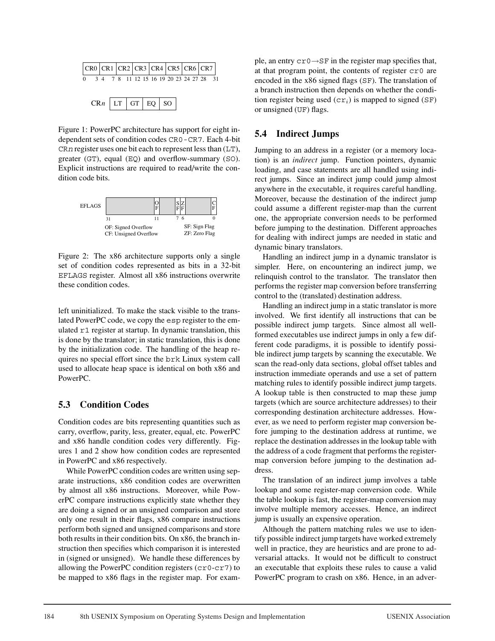| CR0 CR1 CR2 CR3 CR4 CR5 CR6 CR7            |                           |  |  |  |  |  |  |  |
|--------------------------------------------|---------------------------|--|--|--|--|--|--|--|
| 0 3 4 7 8 11 12 15 16 19 20 23 24 27 28 31 |                           |  |  |  |  |  |  |  |
|                                            |                           |  |  |  |  |  |  |  |
|                                            | $CRn$   LT   GT   EQ   SO |  |  |  |  |  |  |  |

Figure 1: PowerPC architecture has support for eight independent sets of condition codes CR0-CR7. Each 4-bit CR*n* register uses one bit each to represent less than (LT), greater (GT), equal (EQ) and overflow-summary (SO). Explicit instructions are required to read/write the condition code bits.



Figure 2: The x86 architecture supports only a single set of condition codes represented as bits in a 32-bit EFLAGS register. Almost all x86 instructions overwrite these condition codes.

left uninitialized. To make the stack visible to the translated PowerPC code, we copy the esp register to the emulated r1 register at startup. In dynamic translation, this is done by the translator; in static translation, this is done by the initialization code. The handling of the heap requires no special effort since the brk Linux system call used to allocate heap space is identical on both x86 and PowerPC.

### **5.3 Condition Codes**

Condition codes are bits representing quantities such as carry, overflow, parity, less, greater, equal, etc. PowerPC and x86 handle condition codes very differently. Figures 1 and 2 show how condition codes are represented in PowerPC and x86 respectively.

While PowerPC condition codes are written using separate instructions, x86 condition codes are overwritten by almost all x86 instructions. Moreover, while PowerPC compare instructions explicitly state whether they are doing a signed or an unsigned comparison and store only one result in their flags, x86 compare instructions perform both signed and unsigned comparisons and store both results in their condition bits. On x86, the branch instruction then specifies which comparison it is interested in (signed or unsigned). We handle these differences by allowing the PowerPC condition registers (cr0-cr7) to be mapped to x86 flags in the register map. For example, an entry cr0→SF in the register map specifies that, at that program point, the contents of register cr0 are encoded in the x86 signed flags (SF). The translation of a branch instruction then depends on whether the condition register being used  $(cr_i)$  is mapped to signed (SF) or unsigned (UF) flags.

## **5.4 Indirect Jumps**

Jumping to an address in a register (or a memory location) is an *indirect* jump. Function pointers, dynamic loading, and case statements are all handled using indirect jumps. Since an indirect jump could jump almost anywhere in the executable, it requires careful handling. Moreover, because the destination of the indirect jump could assume a different register-map than the current one, the appropriate conversion needs to be performed before jumping to the destination. Different approaches for dealing with indirect jumps are needed in static and dynamic binary translators.

Handling an indirect jump in a dynamic translator is simpler. Here, on encountering an indirect jump, we relinquish control to the translator. The translator then performs the register map conversion before transferring control to the (translated) destination address.

Handling an indirect jump in a static translator is more involved. We first identify all instructions that can be possible indirect jump targets. Since almost all wellformed executables use indirect jumps in only a few different code paradigms, it is possible to identify possible indirect jump targets by scanning the executable. We scan the read-only data sections, global offset tables and instruction immediate operands and use a set of pattern matching rules to identify possible indirect jump targets. A lookup table is then constructed to map these jump targets (which are source architecture addresses) to their corresponding destination architecture addresses. However, as we need to perform register map conversion before jumping to the destination address at runtime, we replace the destination addresses in the lookup table with the address of a code fragment that performs the registermap conversion before jumping to the destination address.

The translation of an indirect jump involves a table lookup and some register-map conversion code. While the table lookup is fast, the register-map conversion may involve multiple memory accesses. Hence, an indirect jump is usually an expensive operation.

Although the pattern matching rules we use to identify possible indirect jump targets have worked extremely well in practice, they are heuristics and are prone to adversarial attacks. It would not be difficult to construct an executable that exploits these rules to cause a valid PowerPC program to crash on x86. Hence, in an adver-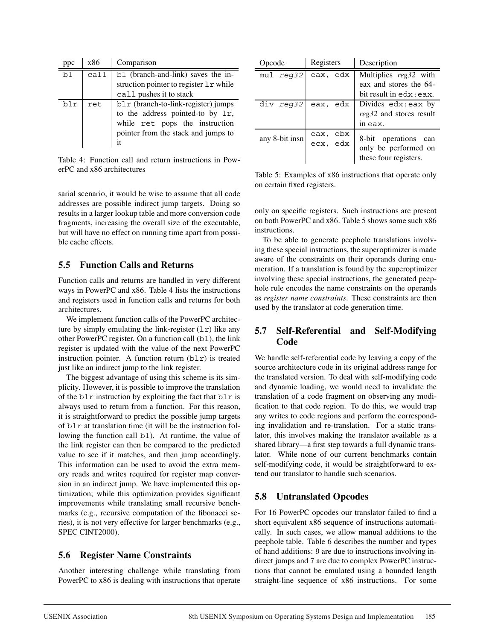| ppc | x86  | Comparison                                                         |  |  |  |  |  |
|-----|------|--------------------------------------------------------------------|--|--|--|--|--|
| bl  | call | bl (branch-and-link) saves the in-                                 |  |  |  |  |  |
|     |      | struction pointer to register 1 r while<br>call pushes it to stack |  |  |  |  |  |
|     |      |                                                                    |  |  |  |  |  |
| blr | ret  | $b1r$ (branch-to-link-register) jumps                              |  |  |  |  |  |
|     |      | to the address pointed-to by 1r,                                   |  |  |  |  |  |
|     |      | while ret pops the instruction                                     |  |  |  |  |  |
|     |      | pointer from the stack and jumps to                                |  |  |  |  |  |
|     |      | it                                                                 |  |  |  |  |  |

Table 4: Function call and return instructions in PowerPC and x86 architectures

sarial scenario, it would be wise to assume that all code addresses are possible indirect jump targets. Doing so results in a larger lookup table and more conversion code fragments, increasing the overall size of the executable, but will have no effect on running time apart from possible cache effects.

### **5.5 Function Calls and Returns**

Function calls and returns are handled in very different ways in PowerPC and x86. Table 4 lists the instructions and registers used in function calls and returns for both architectures.

We implement function calls of the PowerPC architecture by simply emulating the link-register  $(1r)$  like any other PowerPC register. On a function call (bl), the link register is updated with the value of the next PowerPC instruction pointer. A function return  $(b1r)$  is treated just like an indirect jump to the link register.

The biggest advantage of using this scheme is its simplicity. However, it is possible to improve the translation of the  $b \ln r$  instruction by exploiting the fact that  $b \ln r$  is always used to return from a function. For this reason, it is straightforward to predict the possible jump targets of blr at translation time (it will be the instruction following the function call bl). At runtime, the value of the link register can then be compared to the predicted value to see if it matches, and then jump accordingly. This information can be used to avoid the extra memory reads and writes required for register map conversion in an indirect jump. We have implemented this optimization; while this optimization provides significant improvements while translating small recursive benchmarks (e.g., recursive computation of the fibonacci series), it is not very effective for larger benchmarks (e.g., SPEC CINT2000).

## **5.6 Register Name Constraints**

Another interesting challenge while translating from PowerPC to x86 is dealing with instructions that operate

| Opcode         | Registers            | Description<br>Multiplies reg32 with<br>eax and stores the 64-<br>bit result in edx: eax.<br>Divides edx: eax by<br>reg32 and stores result<br>in eax. |  |
|----------------|----------------------|--------------------------------------------------------------------------------------------------------------------------------------------------------|--|
| mul reg32      | eax, edx             |                                                                                                                                                        |  |
| div reg32      | eax, edx             |                                                                                                                                                        |  |
| any 8-bit insn | eax, ebx<br>ecx, edx | 8-bit operations<br>can<br>only be performed on<br>these four registers.                                                                               |  |

Table 5: Examples of x86 instructions that operate only on certain fixed registers.

only on specific registers. Such instructions are present on both PowerPC and x86. Table 5 shows some such x86 instructions.

To be able to generate peephole translations involving these special instructions, the superoptimizer is made aware of the constraints on their operands during enumeration. If a translation is found by the superoptimizer involving these special instructions, the generated peephole rule encodes the name constraints on the operands as *register name constraints*. These constraints are then used by the translator at code generation time.

## **5.7 Self-Referential and Self-Modifying Code**

We handle self-referential code by leaving a copy of the source architecture code in its original address range for the translated version. To deal with self-modifying code and dynamic loading, we would need to invalidate the translation of a code fragment on observing any modification to that code region. To do this, we would trap any writes to code regions and perform the corresponding invalidation and re-translation. For a static translator, this involves making the translator available as a shared library—a first step towards a full dynamic translator. While none of our current benchmarks contain self-modifying code, it would be straightforward to extend our translator to handle such scenarios.

## **5.8 Untranslated Opcodes**

For 16 PowerPC opcodes our translator failed to find a short equivalent x86 sequence of instructions automatically. In such cases, we allow manual additions to the peephole table. Table 6 describes the number and types of hand additions: 9 are due to instructions involving indirect jumps and 7 are due to complex PowerPC instructions that cannot be emulated using a bounded length straight-line sequence of x86 instructions. For some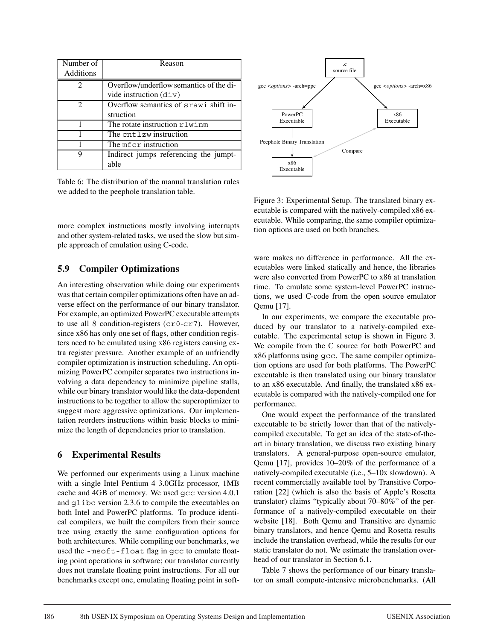| Number of                   | Reason                                     |
|-----------------------------|--------------------------------------------|
| Additions                   |                                            |
| $\mathcal{D}_{\mathcal{L}}$ | Overflow/underflow semantics of the di-    |
|                             | vide instruction $\left(\text{div}\right)$ |
| $\mathcal{D}_{\mathcal{L}}$ | Overflow semantics of srawi shift in-      |
|                             | struction                                  |
|                             | The rotate instruction rlwinm              |
|                             | The cntlzw instruction                     |
|                             | The mf cr instruction                      |
| Q                           | Indirect jumps referencing the jumpt-      |
|                             | able                                       |

Table 6: The distribution of the manual translation rules we added to the peephole translation table.

more complex instructions mostly involving interrupts and other system-related tasks, we used the slow but simple approach of emulation using C-code.

### **5.9 Compiler Optimizations**

An interesting observation while doing our experiments was that certain compiler optimizations often have an adverse effect on the performance of our binary translator. For example, an optimized PowerPC executable attempts to use all 8 condition-registers (cr0-cr7). However, since x86 has only one set of flags, other condition registers need to be emulated using x86 registers causing extra register pressure. Another example of an unfriendly compiler optimization is instruction scheduling. An optimizing PowerPC compiler separates two instructions involving a data dependency to minimize pipeline stalls, while our binary translator would like the data-dependent instructions to be together to allow the superoptimizer to suggest more aggressive optimizations. Our implementation reorders instructions within basic blocks to minimize the length of dependencies prior to translation.

### **6 Experimental Results**

We performed our experiments using a Linux machine with a single Intel Pentium 4 3.0GHz processor, 1MB cache and 4GB of memory. We used gcc version 4.0.1 and glibc version 2.3.6 to compile the executables on both Intel and PowerPC platforms. To produce identical compilers, we built the compilers from their source tree using exactly the same configuration options for both architectures. While compiling our benchmarks, we used the -msoft-float flag in gcc to emulate floating point operations in software; our translator currently does not translate floating point instructions. For all our benchmarks except one, emulating floating point in soft-



Figure 3: Experimental Setup. The translated binary executable is compared with the natively-compiled x86 executable. While comparing, the same compiler optimization options are used on both branches.

ware makes no difference in performance. All the executables were linked statically and hence, the libraries were also converted from PowerPC to x86 at translation time. To emulate some system-level PowerPC instructions, we used C-code from the open source emulator Qemu [17].

In our experiments, we compare the executable produced by our translator to a natively-compiled executable. The experimental setup is shown in Figure 3. We compile from the C source for both PowerPC and x86 platforms using gcc. The same compiler optimization options are used for both platforms. The PowerPC executable is then translated using our binary translator to an x86 executable. And finally, the translated x86 executable is compared with the natively-compiled one for performance.

One would expect the performance of the translated executable to be strictly lower than that of the nativelycompiled executable. To get an idea of the state-of-theart in binary translation, we discuss two existing binary translators. A general-purpose open-source emulator, Qemu [17], provides 10–20% of the performance of a natively-compiled executable (i.e., 5–10x slowdown). A recent commercially available tool by Transitive Corporation [22] (which is also the basis of Apple's Rosetta translator) claims "typically about 70–80%" of the performance of a natively-compiled executable on their website [18]. Both Qemu and Transitive are dynamic binary translators, and hence Qemu and Rosetta results include the translation overhead, while the results for our static translator do not. We estimate the translation overhead of our translator in Section 6.1.

Table 7 shows the performance of our binary translator on small compute-intensive microbenchmarks. (All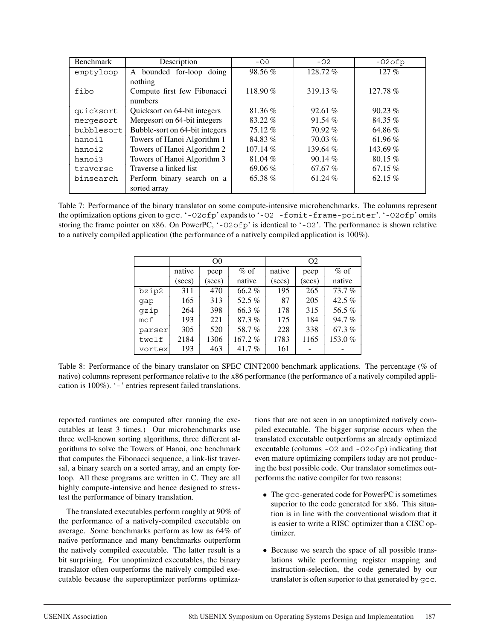| Benchmark  | Description                    | $-00$      | $-02$     | $-02$ ofp  |
|------------|--------------------------------|------------|-----------|------------|
| emptyloop  | A bounded for-loop doing       | $98.56\%$  | 128.72%   | $127\%$    |
|            | nothing                        |            |           |            |
| fibo       | Compute first few Fibonacci    | 118.90%    | 319.13%   | $127.78\%$ |
|            | numbers                        |            |           |            |
| quicksort  | Quicksort on 64-bit integers   | 81.36%     | 92.61%    | $90.23\%$  |
| mergesort  | Mergesort on 64-bit integers   | $83.22\%$  | 91.54%    | 84.35 %    |
| bubblesort | Bubble-sort on 64-bit integers | 75.12%     | $70.92\%$ | 64.86%     |
| hanoi1     | Towers of Hanoi Algorithm 1    | 84.83%     | $70.03\%$ | 61.96 %    |
| hanoi2     | Towers of Hanoi Algorithm 2    | $107.14\%$ | 139.64%   | 143.69%    |
| hanoi3     | Towers of Hanoi Algorithm 3    | 81.04%     | $90.14\%$ | 80.15%     |
| traverse   | Traverse a linked list         | 69.06 $%$  | 67.67%    | $67.15\%$  |
| binsearch  | Perform binary search on a     | 65.38%     | 61.24 %   | 62.15 $%$  |
|            | sorted array                   |            |           |            |

Table 7: Performance of the binary translator on some compute-intensive microbenchmarks. The columns represent the optimization options given to gcc. '-O2ofp' expands to '-O2 -fomit-frame-pointer'. '-O2ofp' omits storing the frame pointer on x86. On PowerPC, '-O2ofp' is identical to '-O2'. The performance is shown relative to a natively compiled application (the performance of a natively compiled application is 100%).

|                 |            | O <sub>0</sub> |          | O <sub>2</sub> |            |          |
|-----------------|------------|----------------|----------|----------------|------------|----------|
|                 | native     | peep           | $%$ of   | native         | peep       | $%$ of   |
|                 | $(\sec s)$ | (secs)         | native   | (secs)         | $(\sec s)$ | native   |
| bzip2           | 311        | 470            | 66.2%    | 195            | 265        | 73.7%    |
| qap             | 165        | 313            | 52.5 $%$ | 87             | 205        | 42.5 $%$ |
| qzip            | 264        | 398            | 66.3%    | 178            | 315        | 56.5%    |
| mc <sub>f</sub> | 193        | 221            | 87.3%    | 175            | 184        | 94.7%    |
| parser          | 305        | 520            | 58.7%    | 228            | 338        | $67.3\%$ |
| twolf           | 2184       | 1306           | 167.2%   | 1783           | 1165       | 153.0%   |
| vortex          | 193        | 463            | 41.7 $%$ | 161            |            |          |

Table 8: Performance of the binary translator on SPEC CINT2000 benchmark applications. The percentage (% of native) columns represent performance relative to the x86 performance (the performance of a natively compiled application is 100%). '-' entries represent failed translations.

reported runtimes are computed after running the executables at least 3 times.) Our microbenchmarks use three well-known sorting algorithms, three different algorithms to solve the Towers of Hanoi, one benchmark that computes the Fibonacci sequence, a link-list traversal, a binary search on a sorted array, and an empty forloop. All these programs are written in C. They are all highly compute-intensive and hence designed to stresstest the performance of binary translation.

The translated executables perform roughly at 90% of the performance of a natively-compiled executable on average. Some benchmarks perform as low as 64% of native performance and many benchmarks outperform the natively compiled executable. The latter result is a bit surprising. For unoptimized executables, the binary translator often outperforms the natively compiled executable because the superoptimizer performs optimizations that are not seen in an unoptimized natively compiled executable. The bigger surprise occurs when the translated executable outperforms an already optimized executable (columns -O2 and -O2ofp) indicating that even mature optimizing compilers today are not producing the best possible code. Our translator sometimes outperforms the native compiler for two reasons:

- The gcc-generated code for PowerPC is sometimes superior to the code generated for x86. This situation is in line with the conventional wisdom that it is easier to write a RISC optimizer than a CISC optimizer.
- Because we search the space of all possible translations while performing register mapping and instruction-selection, the code generated by our translator is often superior to that generated by gcc.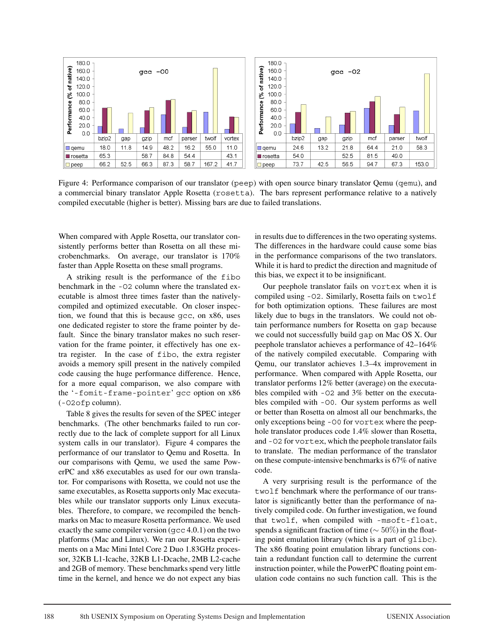

Figure 4: Performance comparison of our translator (peep) with open source binary translator Qemu (qemu), and a commercial binary translator Apple Rosetta (rosetta). The bars represent performance relative to a natively compiled executable (higher is better). Missing bars are due to failed translations.

When compared with Apple Rosetta, our translator consistently performs better than Rosetta on all these microbenchmarks. On average, our translator is 170% faster than Apple Rosetta on these small programs.

A striking result is the performance of the fibo benchmark in the -O2 column where the translated executable is almost three times faster than the nativelycompiled and optimized executable. On closer inspection, we found that this is because gcc, on x86, uses one dedicated register to store the frame pointer by default. Since the binary translator makes no such reservation for the frame pointer, it effectively has one extra register. In the case of fibo, the extra register avoids a memory spill present in the natively compiled code causing the huge performance difference. Hence, for a more equal comparison, we also compare with the '-fomit-frame-pointer' gcc option on x86 (-O2ofp column).

Table 8 gives the results for seven of the SPEC integer benchmarks. (The other benchmarks failed to run correctly due to the lack of complete support for all Linux system calls in our translator). Figure 4 compares the performance of our translator to Qemu and Rosetta. In our comparisons with Qemu, we used the same PowerPC and x86 executables as used for our own translator. For comparisons with Rosetta, we could not use the same executables, as Rosetta supports only Mac executables while our translator supports only Linux executables. Therefore, to compare, we recompiled the benchmarks on Mac to measure Rosetta performance. We used exactly the same compiler version (gcc 4.0.1) on the two platforms (Mac and Linux). We ran our Rosetta experiments on a Mac Mini Intel Core 2 Duo 1.83GHz processor, 32KB L1-Icache, 32KB L1-Dcache, 2MB L2-cache and 2GB of memory. These benchmarks spend very little time in the kernel, and hence we do not expect any bias in results due to differences in the two operating systems. The differences in the hardware could cause some bias in the performance comparisons of the two translators. While it is hard to predict the direction and magnitude of this bias, we expect it to be insignificant.

Our peephole translator fails on vortex when it is compiled using -O2. Similarly, Rosetta fails on twolf for both optimization options. These failures are most likely due to bugs in the translators. We could not obtain performance numbers for Rosetta on gap because we could not successfully build gap on Mac OS X. Our peephole translator achieves a performance of 42–164% of the natively compiled executable. Comparing with Qemu, our translator achieves 1.3–4x improvement in performance. When compared with Apple Rosetta, our translator performs 12% better (average) on the executables compiled with -O2 and 3% better on the executables compiled with -O0. Our system performs as well or better than Rosetta on almost all our benchmarks, the only exceptions being -O0 for vortex where the peephole translator produces code 1.4% slower than Rosetta, and -O2 for vortex, which the peephole translator fails to translate. The median performance of the translator on these compute-intensive benchmarks is 67% of native code.

A very surprising result is the performance of the twolf benchmark where the performance of our translator is significantly better than the performance of natively compiled code. On further investigation, we found that twolf, when compiled with -msoft-float, spends a significant fraction of time ( $\sim$  50%) in the floating point emulation library (which is a part of glibc). The x86 floating point emulation library functions contain a redundant function call to determine the current instruction pointer, while the PowerPC floating point emulation code contains no such function call. This is the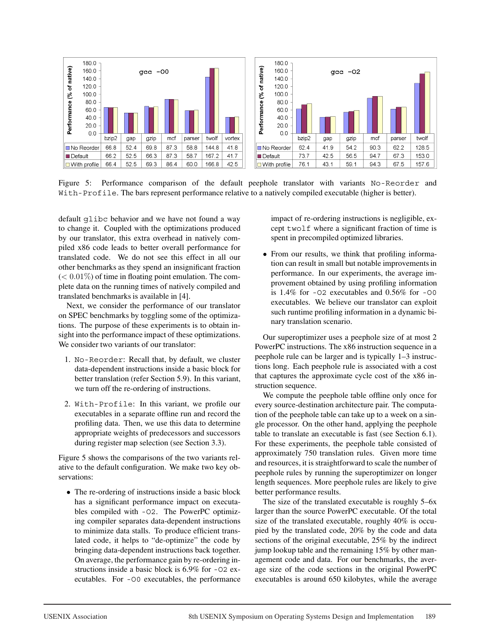

Figure 5: Performance comparison of the default peephole translator with variants No-Reorder and With-Profile. The bars represent performance relative to a natively compiled executable (higher is better).

default glibc behavior and we have not found a way to change it. Coupled with the optimizations produced by our translator, this extra overhead in natively compiled x86 code leads to better overall performance for translated code. We do not see this effect in all our other benchmarks as they spend an insignificant fraction  $(< 0.01\%)$  of time in floating point emulation. The complete data on the running times of natively compiled and translated benchmarks is available in [4].

Next, we consider the performance of our translator on SPEC benchmarks by toggling some of the optimizations. The purpose of these experiments is to obtain insight into the performance impact of these optimizations. We consider two variants of our translator:

- 1. No-Reorder: Recall that, by default, we cluster data-dependent instructions inside a basic block for better translation (refer Section 5.9). In this variant, we turn off the re-ordering of instructions.
- 2. With-Profile: In this variant, we profile our executables in a separate offline run and record the profiling data. Then, we use this data to determine appropriate weights of predecessors and successors during register map selection (see Section 3.3).

Figure 5 shows the comparisons of the two variants relative to the default configuration. We make two key observations:

• The re-ordering of instructions inside a basic block has a significant performance impact on executables compiled with -O2. The PowerPC optimizing compiler separates data-dependent instructions to minimize data stalls. To produce efficient translated code, it helps to "de-optimize" the code by bringing data-dependent instructions back together. On average, the performance gain by re-ordering instructions inside a basic block is 6.9% for -O2 executables. For -O0 executables, the performance

impact of re-ordering instructions is negligible, except twolf where a significant fraction of time is spent in precompiled optimized libraries.

• From our results, we think that profiling information can result in small but notable improvements in performance. In our experiments, the average improvement obtained by using profiling information is 1.4% for -O2 executables and 0.56% for -O0 executables. We believe our translator can exploit such runtime profiling information in a dynamic binary translation scenario.

Our superoptimizer uses a peephole size of at most 2 PowerPC instructions. The x86 instruction sequence in a peephole rule can be larger and is typically 1–3 instructions long. Each peephole rule is associated with a cost that captures the approximate cycle cost of the x86 instruction sequence.

We compute the peephole table offline only once for every source-destination architecture pair. The computation of the peephole table can take up to a week on a single processor. On the other hand, applying the peephole table to translate an executable is fast (see Section 6.1). For these experiments, the peephole table consisted of approximately 750 translation rules. Given more time and resources, it is straightforward to scale the number of peephole rules by running the superoptimizer on longer length sequences. More peephole rules are likely to give better performance results.

The size of the translated executable is roughly 5–6x larger than the source PowerPC executable. Of the total size of the translated executable, roughly 40% is occupied by the translated code, 20% by the code and data sections of the original executable, 25% by the indirect jump lookup table and the remaining 15% by other management code and data. For our benchmarks, the average size of the code sections in the original PowerPC executables is around 650 kilobytes, while the average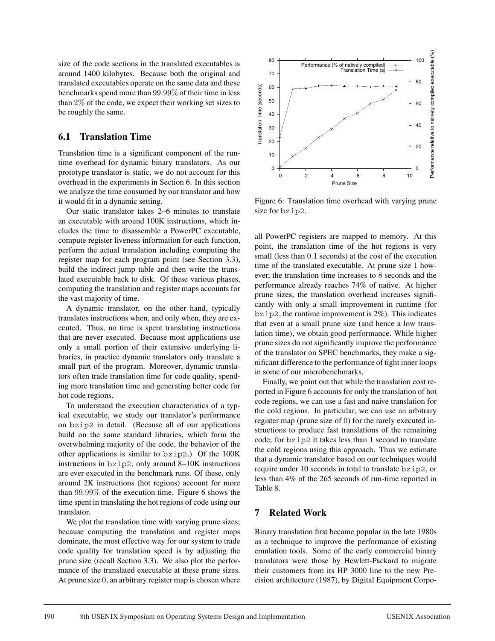size of the code sections in the translated executables is around 1400 kilobytes. Because both the original and translated executables operate on the same data and these benchmarks spend more than 99.99% of their time in less than 2% of the code, we expect their working set sizes to be roughly the same.

#### **6.1 Translation Time**

Translation time is a significant component of the runtime overhead for dynamic binary translators. As our prototype translator is static, we do not account for this overhead in the experiments in Section 6. In this section we analyze the time consumed by our translator and how it would fit in a dynamic setting.

Our static translator takes 2–6 minutes to translate an executable with around 100K instructions, which includes the time to disassemble a PowerPC executable, compute register liveness information for each function, perform the actual translation including computing the register map for each program point (see Section 3.3), build the indirect jump table and then write the translated executable back to disk. Of these various phases, computing the translation and register maps accounts for the vast majority of time.

A dynamic translator, on the other hand, typically translates instructions when, and only when, they are executed. Thus, no time is spent translating instructions that are never executed. Because most applications use only a small portion of their extensive underlying libraries, in practice dynamic translators only translate a small part of the program. Moreover, dynamic translators often trade translation time for code quality, spending more translation time and generating better code for hot code regions.

To understand the execution characteristics of a typical executable, we study our translator's performance on bzip2 in detail. (Because all of our applications build on the same standard libraries, which form the overwhelming majority of the code, the behavior of the other applications is similar to bzip2.) Of the 100K instructions in bzip2, only around 8–10K instructions are ever executed in the benchmark runs. Of these, only around 2K instructions (hot regions) account for more than 99.99% of the execution time. Figure 6 shows the time spent in translating the hot regions of code using our translator.

We plot the translation time with varying prune sizes; because computing the translation and register maps dominate, the most effective way for our system to trade code quality for translation speed is by adjusting the prune size (recall Section 3.3). We also plot the performance of the translated executable at these prune sizes. At prune size 0, an arbitrary register map is chosen where



Figure 6: Translation time overhead with varying prune size for bzip2.

all PowerPC registers are mapped to memory. At this point, the translation time of the hot regions is very small (less than 0.1 seconds) at the cost of the execution time of the translated executable. At prune size 1 however, the translation time increases to 8 seconds and the performance already reaches 74% of native. At higher prune sizes, the translation overhead increases significantly with only a small improvement in runtime (for  $bzip2$ , the runtime improvement is  $2\%$ ). This indicates that even at a small prune size (and hence a low translation time), we obtain good performance. While higher prune sizes do not significantly improve the performance of the translator on SPEC benchmarks, they make a significant difference to the performance of tight inner loops in some of our microbenchmarks.

Finally, we point out that while the translation cost reported in Figure 6 accounts for only the translation of hot code regions, we can use a fast and naive translation for the cold regions. In particular, we can use an arbitrary register map (prune size of 0) for the rarely executed instructions to produce fast translations of the remaining code; for bzip2 it takes less than 1 second to translate the cold regions using this approach. Thus we estimate that a dynamic translator based on our techniques would require under 10 seconds in total to translate bzip2, or less than 4% of the 265 seconds of run-time reported in Table 8.

### **7 Related Work**

Binary translation first became popular in the late 1980s as a technique to improve the performance of existing emulation tools. Some of the early commercial binary translators were those by Hewlett-Packard to migrate their customers from its HP 3000 line to the new Precision architecture (1987), by Digital Equipment Corpo-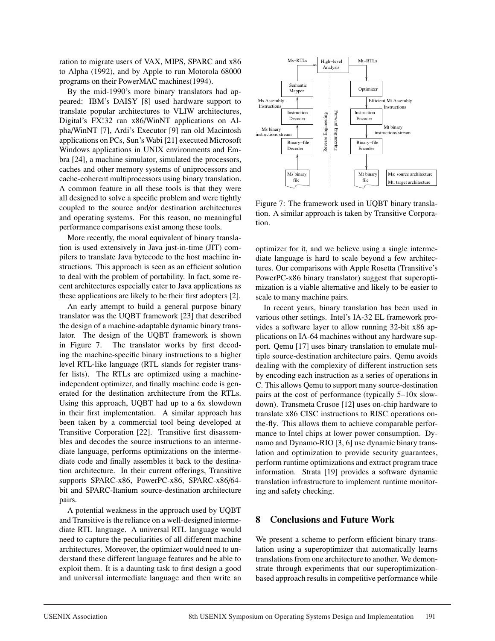ration to migrate users of VAX, MIPS, SPARC and x86 to Alpha (1992), and by Apple to run Motorola 68000 programs on their PowerMAC machines(1994).

By the mid-1990's more binary translators had appeared: IBM's DAISY [8] used hardware support to translate popular architectures to VLIW architectures, Digital's FX!32 ran x86/WinNT applications on Alpha/WinNT [7], Ardi's Executor [9] ran old Macintosh applications on PCs, Sun's Wabi [21] executed Microsoft Windows applications in UNIX environments and Embra [24], a machine simulator, simulated the processors, caches and other memory systems of uniprocessors and cache-coherent multiprocessors using binary translation. A common feature in all these tools is that they were all designed to solve a specific problem and were tightly coupled to the source and/or destination architectures and operating systems. For this reason, no meaningful performance comparisons exist among these tools.

More recently, the moral equivalent of binary translation is used extensively in Java just-in-time (JIT) compilers to translate Java bytecode to the host machine instructions. This approach is seen as an efficient solution to deal with the problem of portability. In fact, some recent architectures especially cater to Java applications as these applications are likely to be their first adopters [2].

An early attempt to build a general purpose binary translator was the UQBT framework [23] that described the design of a machine-adaptable dynamic binary translator. The design of the UQBT framework is shown in Figure 7. The translator works by first decoding the machine-specific binary instructions to a higher level RTL-like language (RTL stands for register transfer lists). The RTLs are optimized using a machineindependent optimizer, and finally machine code is generated for the destination architecture from the RTLs. Using this approach, UQBT had up to a 6x slowdown in their first implementation. A similar approach has been taken by a commercial tool being developed at Transitive Corporation [22]. Transitive first disassembles and decodes the source instructions to an intermediate language, performs optimizations on the intermediate code and finally assembles it back to the destination architecture. In their current offerings, Transitive supports SPARC-x86, PowerPC-x86, SPARC-x86/64 bit and SPARC-Itanium source-destination architecture pairs.

A potential weakness in the approach used by UQBT and Transitive is the reliance on a well-designed intermediate RTL language. A universal RTL language would need to capture the peculiarities of all different machine architectures. Moreover, the optimizer would need to understand these different language features and be able to exploit them. It is a daunting task to first design a good and universal intermediate language and then write an



Figure 7: The framework used in UQBT binary translation. A similar approach is taken by Transitive Corporation.

optimizer for it, and we believe using a single intermediate language is hard to scale beyond a few architectures. Our comparisons with Apple Rosetta (Transitive's PowerPC-x86 binary translator) suggest that superoptimization is a viable alternative and likely to be easier to scale to many machine pairs.

In recent years, binary translation has been used in various other settings. Intel's IA-32 EL framework provides a software layer to allow running 32-bit x86 applications on IA-64 machines without any hardware support. Qemu [17] uses binary translation to emulate multiple source-destination architecture pairs. Qemu avoids dealing with the complexity of different instruction sets by encoding each instruction as a series of operations in C. This allows Qemu to support many source-destination pairs at the cost of performance (typically 5–10x slowdown). Transmeta Crusoe [12] uses on-chip hardware to translate x86 CISC instructions to RISC operations onthe-fly. This allows them to achieve comparable performance to Intel chips at lower power consumption. Dynamo and Dynamo-RIO [3, 6] use dynamic binary translation and optimization to provide security guarantees, perform runtime optimizations and extract program trace information. Strata [19] provides a software dynamic translation infrastructure to implement runtime monitoring and safety checking.

### **8 Conclusions and Future Work**

We present a scheme to perform efficient binary translation using a superoptimizer that automatically learns translations from one architecture to another. We demonstrate through experiments that our superoptimizationbased approach results in competitive performance while